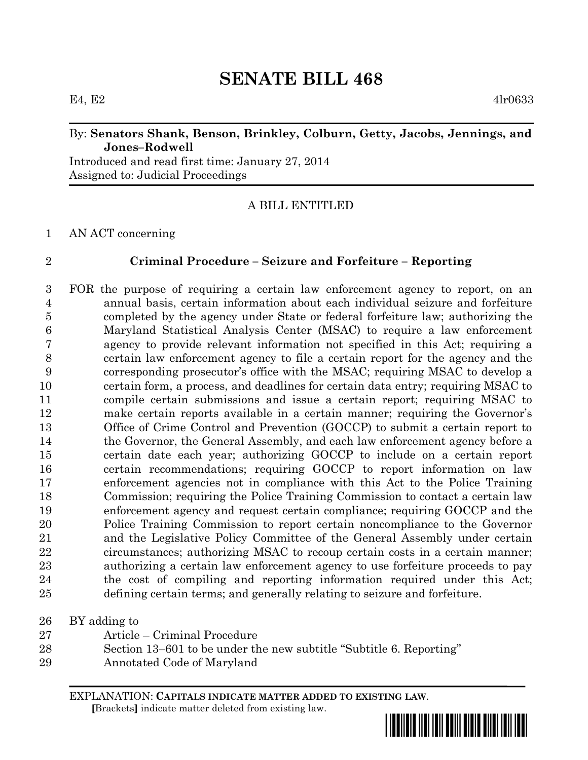# **SENATE BILL 468**

#### By: **Senators Shank, Benson, Brinkley, Colburn, Getty, Jacobs, Jennings, and Jones–Rodwell**

Introduced and read first time: January 27, 2014 Assigned to: Judicial Proceedings

# A BILL ENTITLED

### AN ACT concerning

## **Criminal Procedure – Seizure and Forfeiture – Reporting**

 FOR the purpose of requiring a certain law enforcement agency to report, on an annual basis, certain information about each individual seizure and forfeiture completed by the agency under State or federal forfeiture law; authorizing the Maryland Statistical Analysis Center (MSAC) to require a law enforcement agency to provide relevant information not specified in this Act; requiring a certain law enforcement agency to file a certain report for the agency and the corresponding prosecutor's office with the MSAC; requiring MSAC to develop a certain form, a process, and deadlines for certain data entry; requiring MSAC to compile certain submissions and issue a certain report; requiring MSAC to make certain reports available in a certain manner; requiring the Governor's Office of Crime Control and Prevention (GOCCP) to submit a certain report to the Governor, the General Assembly, and each law enforcement agency before a certain date each year; authorizing GOCCP to include on a certain report certain recommendations; requiring GOCCP to report information on law enforcement agencies not in compliance with this Act to the Police Training Commission; requiring the Police Training Commission to contact a certain law enforcement agency and request certain compliance; requiring GOCCP and the Police Training Commission to report certain noncompliance to the Governor and the Legislative Policy Committee of the General Assembly under certain circumstances; authorizing MSAC to recoup certain costs in a certain manner; authorizing a certain law enforcement agency to use forfeiture proceeds to pay the cost of compiling and reporting information required under this Act; defining certain terms; and generally relating to seizure and forfeiture.

| BY adding to | $26\,$ |  |  |  |  |
|--------------|--------|--|--|--|--|
|--------------|--------|--|--|--|--|

- Article Criminal Procedure
- Section 13–601 to be under the new subtitle "Subtitle 6. Reporting"
- Annotated Code of Maryland

EXPLANATION: **CAPITALS INDICATE MATTER ADDED TO EXISTING LAW**.  **[**Brackets**]** indicate matter deleted from existing law.

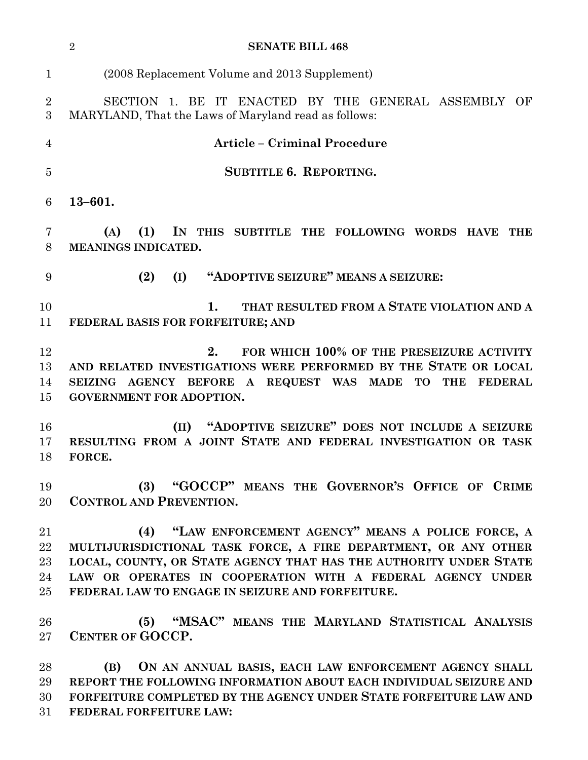|                                | $\overline{2}$<br><b>SENATE BILL 468</b>                                                                                                                                                                                                                                                                       |
|--------------------------------|----------------------------------------------------------------------------------------------------------------------------------------------------------------------------------------------------------------------------------------------------------------------------------------------------------------|
| $\mathbf{1}$                   | (2008 Replacement Volume and 2013 Supplement)                                                                                                                                                                                                                                                                  |
| $\overline{2}$<br>3            | SECTION 1. BE IT ENACTED BY THE GENERAL ASSEMBLY OF<br>MARYLAND, That the Laws of Maryland read as follows:                                                                                                                                                                                                    |
| 4                              | <b>Article - Criminal Procedure</b>                                                                                                                                                                                                                                                                            |
| $\overline{5}$                 | <b>SUBTITLE 6. REPORTING.</b>                                                                                                                                                                                                                                                                                  |
| 6                              | $13 - 601.$                                                                                                                                                                                                                                                                                                    |
| 7<br>8                         | IN THIS SUBTITLE THE FOLLOWING WORDS HAVE<br>(A)<br>(1)<br>THE<br>MEANINGS INDICATED.                                                                                                                                                                                                                          |
| 9                              | "ADOPTIVE SEIZURE" MEANS A SEIZURE:<br>(2)<br>(I)                                                                                                                                                                                                                                                              |
| 10<br>11                       | THAT RESULTED FROM A STATE VIOLATION AND A<br>1.<br>FEDERAL BASIS FOR FORFEITURE; AND                                                                                                                                                                                                                          |
| 12<br>13<br>14<br>15           | 2.<br>FOR WHICH 100% OF THE PRESEIZURE ACTIVITY<br>AND RELATED INVESTIGATIONS WERE PERFORMED BY THE STATE OR LOCAL<br>SEIZING AGENCY BEFORE A REQUEST WAS MADE<br>TO<br>THE<br><b>FEDERAL</b><br><b>GOVERNMENT FOR ADOPTION.</b>                                                                               |
| 16<br>17<br>18                 | "ADOPTIVE SEIZURE" DOES NOT INCLUDE A SEIZURE<br>(II)<br>RESULTING FROM A JOINT STATE AND FEDERAL INVESTIGATION OR TASK<br>FORCE.                                                                                                                                                                              |
| 19<br>20                       | (3) "GOCCP" MEANS THE GOVERNOR'S OFFICE OF CRIME<br><b>CONTROL AND PREVENTION.</b>                                                                                                                                                                                                                             |
| 21<br>22<br>23<br>24<br>$25\,$ | (4) "LAW ENFORCEMENT AGENCY" MEANS A POLICE FORCE, A<br>MULTIJURISDICTIONAL TASK FORCE, A FIRE DEPARTMENT, OR ANY OTHER<br>LOCAL, COUNTY, OR STATE AGENCY THAT HAS THE AUTHORITY UNDER STATE<br>LAW OR OPERATES IN COOPERATION WITH A FEDERAL AGENCY UNDER<br>FEDERAL LAW TO ENGAGE IN SEIZURE AND FORFEITURE. |
| 26<br>$27\,$                   | (5) "MSAC" MEANS THE MARYLAND STATISTICAL ANALYSIS<br>CENTER OF GOCCP.                                                                                                                                                                                                                                         |
| 28<br>29<br>30<br>$31\,$       | ON AN ANNUAL BASIS, EACH LAW ENFORCEMENT AGENCY SHALL<br>(B)<br>REPORT THE FOLLOWING INFORMATION ABOUT EACH INDIVIDUAL SEIZURE AND<br>FORFEITURE COMPLETED BY THE AGENCY UNDER STATE FORFEITURE LAW AND<br>FEDERAL FORFEITURE LAW:                                                                             |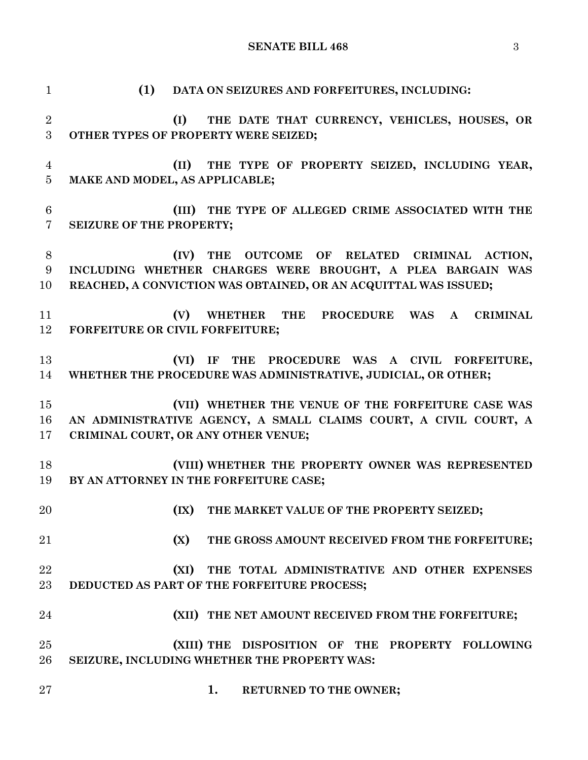**SENATE BILL 468** 3

 **(1) DATA ON SEIZURES AND FORFEITURES, INCLUDING: (I) THE DATE THAT CURRENCY, VEHICLES, HOUSES, OR OTHER TYPES OF PROPERTY WERE SEIZED; (II) THE TYPE OF PROPERTY SEIZED, INCLUDING YEAR, MAKE AND MODEL, AS APPLICABLE; (III) THE TYPE OF ALLEGED CRIME ASSOCIATED WITH THE SEIZURE OF THE PROPERTY; (IV) THE OUTCOME OF RELATED CRIMINAL ACTION, INCLUDING WHETHER CHARGES WERE BROUGHT, A PLEA BARGAIN WAS REACHED, A CONVICTION WAS OBTAINED, OR AN ACQUITTAL WAS ISSUED; (V) WHETHER THE PROCEDURE WAS A CRIMINAL FORFEITURE OR CIVIL FORFEITURE; (VI) IF THE PROCEDURE WAS A CIVIL FORFEITURE, WHETHER THE PROCEDURE WAS ADMINISTRATIVE, JUDICIAL, OR OTHER; (VII) WHETHER THE VENUE OF THE FORFEITURE CASE WAS AN ADMINISTRATIVE AGENCY, A SMALL CLAIMS COURT, A CIVIL COURT, A CRIMINAL COURT, OR ANY OTHER VENUE; (VIII) WHETHER THE PROPERTY OWNER WAS REPRESENTED BY AN ATTORNEY IN THE FORFEITURE CASE; (IX) THE MARKET VALUE OF THE PROPERTY SEIZED; (X) THE GROSS AMOUNT RECEIVED FROM THE FORFEITURE; (XI) THE TOTAL ADMINISTRATIVE AND OTHER EXPENSES DEDUCTED AS PART OF THE FORFEITURE PROCESS; (XII) THE NET AMOUNT RECEIVED FROM THE FORFEITURE; (XIII) THE DISPOSITION OF THE PROPERTY FOLLOWING SEIZURE, INCLUDING WHETHER THE PROPERTY WAS: 1. RETURNED TO THE OWNER;**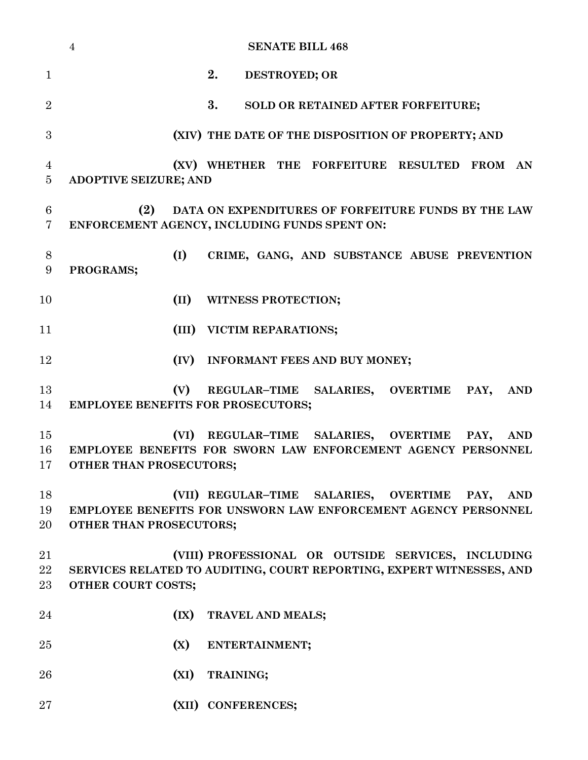|                     | <b>SENATE BILL 468</b><br>$\overline{4}$                                                                                                                 |
|---------------------|----------------------------------------------------------------------------------------------------------------------------------------------------------|
| $\mathbf{1}$        | 2.<br>DESTROYED; OR                                                                                                                                      |
| $\overline{2}$      | 3.<br>SOLD OR RETAINED AFTER FORFEITURE;                                                                                                                 |
| 3                   | (XIV) THE DATE OF THE DISPOSITION OF PROPERTY; AND                                                                                                       |
| 4<br>$\overline{5}$ | (XV) WHETHER THE FORFEITURE RESULTED FROM AN<br>ADOPTIVE SEIZURE; AND                                                                                    |
| 6<br>7              | (2)<br>DATA ON EXPENDITURES OF FORFEITURE FUNDS BY THE LAW<br>ENFORCEMENT AGENCY, INCLUDING FUNDS SPENT ON:                                              |
| 8<br>9              | (I)<br>CRIME, GANG, AND SUBSTANCE ABUSE PREVENTION<br>PROGRAMS;                                                                                          |
| 10                  | (II)<br>WITNESS PROTECTION;                                                                                                                              |
| 11                  | (III) VICTIM REPARATIONS;                                                                                                                                |
| 12                  | (IV) INFORMANT FEES AND BUY MONEY;                                                                                                                       |
| 13<br>14            | (V)<br>REGULAR-TIME SALARIES, OVERTIME<br>PAY,<br><b>AND</b><br><b>EMPLOYEE BENEFITS FOR PROSECUTORS;</b>                                                |
| 15<br>16<br>17      | (VI)<br>REGULAR-TIME SALARIES, OVERTIME<br><b>AND</b><br>PAY,<br>EMPLOYEE BENEFITS FOR SWORN LAW ENFORCEMENT AGENCY PERSONNEL<br>OTHER THAN PROSECUTORS; |
| 18<br>19<br>20      | (VII) REGULAR-TIME SALARIES, OVERTIME<br>PAY,<br><b>AND</b><br>EMPLOYEE BENEFITS FOR UNSWORN LAW ENFORCEMENT AGENCY PERSONNEL<br>OTHER THAN PROSECUTORS; |
| 21<br>22<br>$23\,$  | (VIII) PROFESSIONAL OR OUTSIDE SERVICES, INCLUDING<br>SERVICES RELATED TO AUDITING, COURT REPORTING, EXPERT WITNESSES, AND<br><b>OTHER COURT COSTS;</b>  |
| 24                  | $(\mathbf{IX})$<br>TRAVEL AND MEALS;                                                                                                                     |
| $25\,$              | (X)<br>ENTERTAINMENT;                                                                                                                                    |
| 26                  | (XI)<br>TRAINING;                                                                                                                                        |
| $27\,$              | (XII) CONFERENCES;                                                                                                                                       |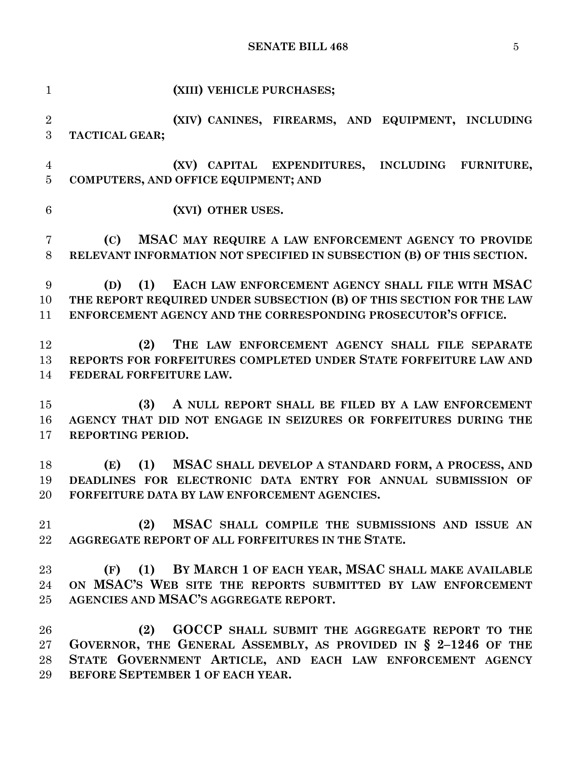| $\mathbf{1}$   | (XIII) VEHICLE PURCHASES;                                             |
|----------------|-----------------------------------------------------------------------|
| $\sqrt{2}$     | (XIV) CANINES, FIREARMS, AND EQUIPMENT, INCLUDING                     |
| 3              | TACTICAL GEAR;                                                        |
| $\overline{4}$ | (XV) CAPITAL EXPENDITURES, INCLUDING FURNITURE,                       |
| 5              | <b>COMPUTERS, AND OFFICE EQUIPMENT; AND</b>                           |
|                |                                                                       |
| 6              | (XVI) OTHER USES.                                                     |
| 7              | (C)<br>MSAC MAY REQUIRE A LAW ENFORCEMENT AGENCY TO PROVIDE           |
| 8              | RELEVANT INFORMATION NOT SPECIFIED IN SUBSECTION (B) OF THIS SECTION. |
| 9              | (1)<br>EACH LAW ENFORCEMENT AGENCY SHALL FILE WITH MSAC<br>(D)        |
| 10             | THE REPORT REQUIRED UNDER SUBSECTION (B) OF THIS SECTION FOR THE LAW  |
| 11             | ENFORCEMENT AGENCY AND THE CORRESPONDING PROSECUTOR'S OFFICE.         |
|                |                                                                       |
| 12             | THE LAW ENFORCEMENT AGENCY SHALL FILE SEPARATE<br>(2)                 |
| 13             | REPORTS FOR FORFEITURES COMPLETED UNDER STATE FORFEITURE LAW AND      |
| 14             | FEDERAL FORFEITURE LAW.                                               |
| 15             | A NULL REPORT SHALL BE FILED BY A LAW ENFORCEMENT<br>(3)              |
| 16             | AGENCY THAT DID NOT ENGAGE IN SEIZURES OR FORFEITURES DURING THE      |
| 17             | REPORTING PERIOD.                                                     |
|                |                                                                       |
| 18             | (1)<br>MSAC SHALL DEVELOP A STANDARD FORM, A PROCESS, AND<br>(E)      |
| 19             | DEADLINES FOR ELECTRONIC DATA ENTRY FOR ANNUAL SUBMISSION OF          |
| 20             | FORFEITURE DATA BY LAW ENFORCEMENT AGENCIES.                          |
| 21             | MSAC SHALL COMPILE THE SUBMISSIONS AND ISSUE AN<br>(2)                |
| 22             | AGGREGATE REPORT OF ALL FORFEITURES IN THE STATE.                     |
|                |                                                                       |
| 23             | (1) BY MARCH 1 OF EACH YEAR, MSAC SHALL MAKE AVAILABLE<br>(F)         |
| 24             | ON MSAC'S WEB SITE THE REPORTS SUBMITTED BY LAW ENFORCEMENT           |
| 25             | AGENCIES AND MSAC'S AGGREGATE REPORT.                                 |
| 26             | GOCCP SHALL SUBMIT THE AGGREGATE REPORT TO THE<br>(2)                 |
| 27             | GOVERNOR, THE GENERAL ASSEMBLY, AS PROVIDED IN § 2-1246 OF THE        |
| 28             | STATE GOVERNMENT ARTICLE, AND EACH LAW ENFORCEMENT AGENCY             |
| 29             | BEFORE SEPTEMBER 1 OF EACH YEAR.                                      |